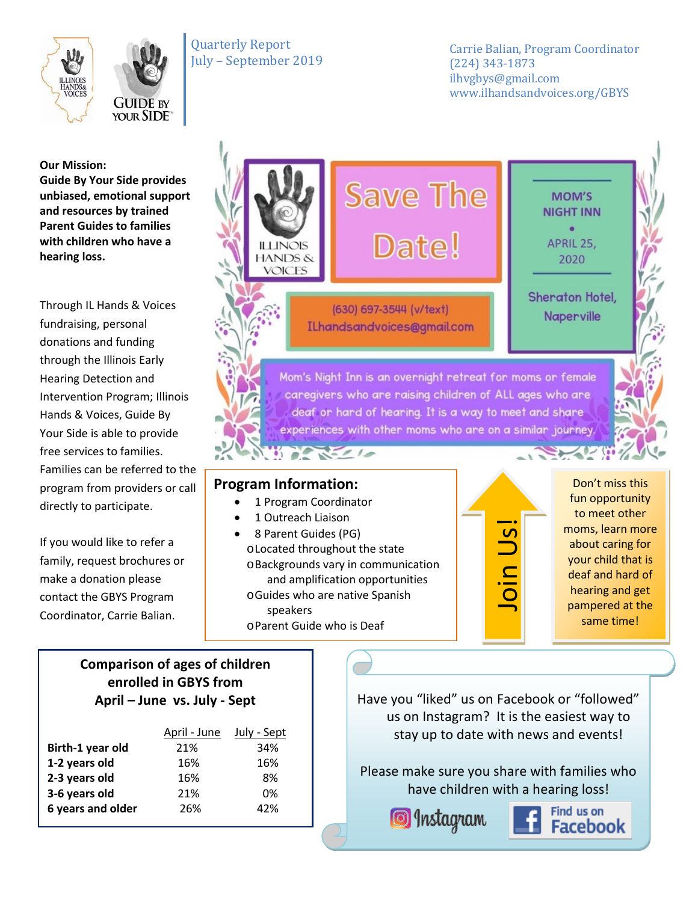



#### **Our Mission:**

**Guide By Your Side provides unbiased, emotional support and resources by trained Parent Guides to families with children who have a hearing loss.** 

Through IL Hands & Voices fundraising, personal donations and funding through the Illinois Early Hearing Detection and Intervention Program; Illinois Hands & Voices, Guide By Your Side is able to provide free services to families. Families can be referred to the program from providers or call directly to participate.

If you would like to refer a family, request brochures or make a donation please contact the GBYS Program Coordinator, Carrie Balian.

#### Quarterly Report July – September 2019

Carrie Balian, Program Coordinator (224) 343-1873 ilhvgbys@gmail.com www.ilhandsandvoices.org/GBYS



#### **Program Information:**

- 1 Program Coordinator
- 1 Outreach Liaison
- 8 Parent Guides (PG) oLocated throughout the state oBackgrounds vary in communication and amplification opportunities oGuides who are native Spanish speakers oParent Guide who is Deaf



fun opportunity to meet other moms, learn more about caring for your child that is deaf and hard of hearing and get pampered at the same time!

### **Comparison of ages of children enrolled in GBYS from April – June vs. July - Sept**

| April - June | July - Sept |
|--------------|-------------|
| 21%          | 34%         |
| 16%          | 16%         |
| 16%          | 8%          |
| 21%          | 0%          |
| 26%          | 42%         |
|              |             |

Have you "liked" us on Facebook or "followed" us on Instagram? It is the easiest way to stay up to date with news and events! Fation<br>
The Contraction<br>
The Contraction<br>
Using the aring<br>
Designed to the the charge<br>
Designed to the the same<br>
Designed to the the same<br>
Same<br>
Designed to the same<br>
Same<br>
Same<br>
Designed to the same<br>
Same<br>
Designed to the

Please make sure you share with families who